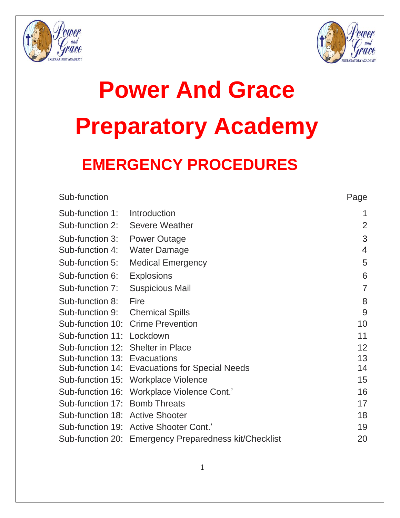



# **Power And Grace Preparatory Academy**

### **EMERGENCY PROCEDURES**

| Page           |
|----------------|
| 1              |
| $\overline{2}$ |
| 3              |
| $\overline{4}$ |
| 5              |
| 6              |
| $\overline{7}$ |
| 8              |
| 9              |
| 10             |
| 11             |
| 12             |
| 13             |
| 14             |
| 15             |
| 16             |
| 17             |
| 18             |
| 19             |
| 20             |
|                |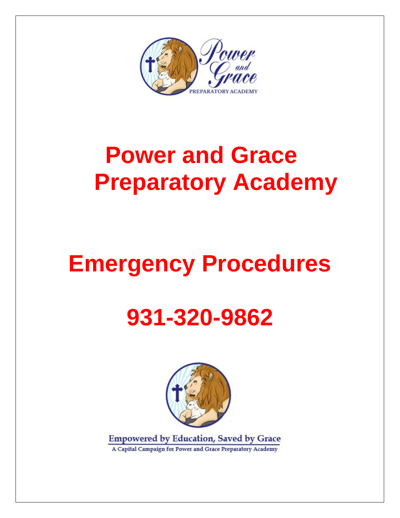

### **Power and Grace Preparatory Academy**

### **Emergency Procedures**

### **931-320-9862**



**Empowered by Education, Saved by Grace** A Capital Campaign for Power and Grace Preparatory Academy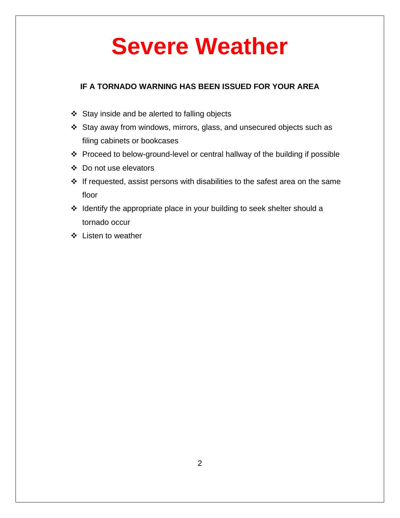### **Severe Weather**

#### **IF A TORNADO WARNING HAS BEEN ISSUED FOR YOUR AREA**

- ❖ Stay inside and be alerted to falling objects
- ❖ Stay away from windows, mirrors, glass, and unsecured objects such as filing cabinets or bookcases
- ❖ Proceed to below-ground-level or central hallway of the building if possible
- ❖ Do not use elevators
- ❖ If requested, assist persons with disabilities to the safest area on the same floor
- ❖ Identify the appropriate place in your building to seek shelter should a tornado occur
- ❖ Listen to weather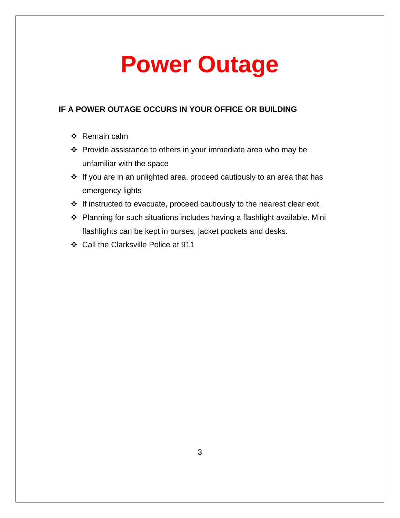### **Power Outage**

#### **IF A POWER OUTAGE OCCURS IN YOUR OFFICE OR BUILDING**

- ❖ Remain calm
- ❖ Provide assistance to others in your immediate area who may be unfamiliar with the space
- ❖ If you are in an unlighted area, proceed cautiously to an area that has emergency lights
- ❖ If instructed to evacuate, proceed cautiously to the nearest clear exit.
- ❖ Planning for such situations includes having a flashlight available. Mini flashlights can be kept in purses, jacket pockets and desks.
- ❖ Call the Clarksville Police at 911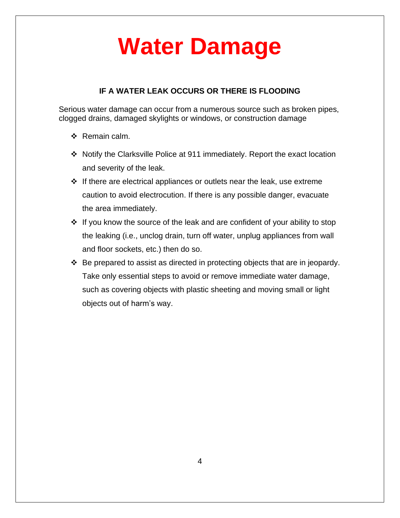### **Water Damage**

#### **IF A WATER LEAK OCCURS OR THERE IS FLOODING**

Serious water damage can occur from a numerous source such as broken pipes, clogged drains, damaged skylights or windows, or construction damage

- ❖ Remain calm.
- ❖ Notify the Clarksville Police at 911 immediately. Report the exact location and severity of the leak.
- ❖ If there are electrical appliances or outlets near the leak, use extreme caution to avoid electrocution. If there is any possible danger, evacuate the area immediately.
- ❖ If you know the source of the leak and are confident of your ability to stop the leaking (i.e., unclog drain, turn off water, unplug appliances from wall and floor sockets, etc.) then do so.
- ❖ Be prepared to assist as directed in protecting objects that are in jeopardy. Take only essential steps to avoid or remove immediate water damage, such as covering objects with plastic sheeting and moving small or light objects out of harm's way.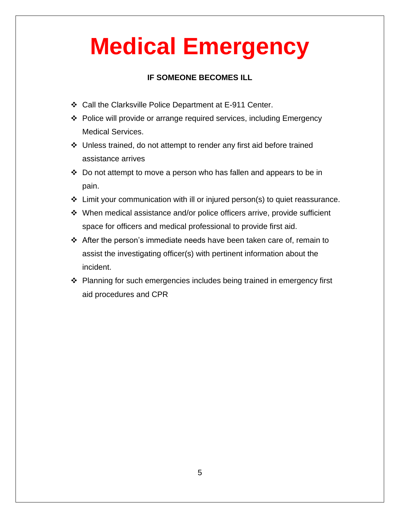### **Medical Emergency**

#### **IF SOMEONE BECOMES ILL**

- ❖ Call the Clarksville Police Department at E-911 Center.
- ❖ Police will provide or arrange required services, including Emergency Medical Services.
- ❖ Unless trained, do not attempt to render any first aid before trained assistance arrives
- ❖ Do not attempt to move a person who has fallen and appears to be in pain.
- ❖ Limit your communication with ill or injured person(s) to quiet reassurance.
- ❖ When medical assistance and/or police officers arrive, provide sufficient space for officers and medical professional to provide first aid.
- ❖ After the person's immediate needs have been taken care of, remain to assist the investigating officer(s) with pertinent information about the incident.
- ❖ Planning for such emergencies includes being trained in emergency first aid procedures and CPR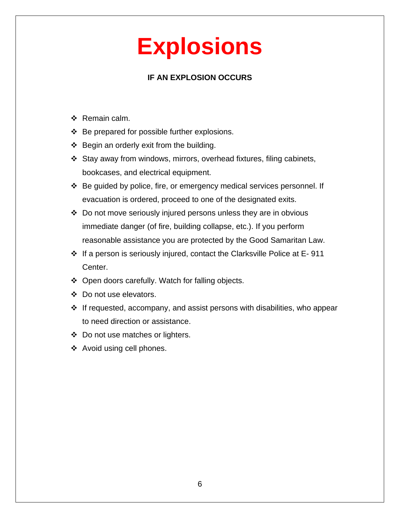### **Explosions**

#### **IF AN EXPLOSION OCCURS**

- ❖ Remain calm.
- ❖ Be prepared for possible further explosions.
- ❖ Begin an orderly exit from the building.
- ❖ Stay away from windows, mirrors, overhead fixtures, filing cabinets, bookcases, and electrical equipment.
- ❖ Be guided by police, fire, or emergency medical services personnel. If evacuation is ordered, proceed to one of the designated exits.
- ❖ Do not move seriously injured persons unless they are in obvious immediate danger (of fire, building collapse, etc.). If you perform reasonable assistance you are protected by the Good Samaritan Law.
- ❖ If a person is seriously injured, contact the Clarksville Police at E- 911 Center.
- ❖ Open doors carefully. Watch for falling objects.
- ❖ Do not use elevators.
- ❖ If requested, accompany, and assist persons with disabilities, who appear to need direction or assistance.
- ❖ Do not use matches or lighters.
- ❖ Avoid using cell phones.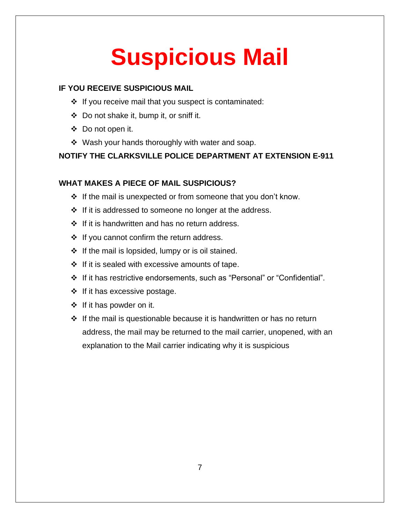# **Suspicious Mail**

#### **IF YOU RECEIVE SUSPICIOUS MAIL**

- ❖ If you receive mail that you suspect is contaminated:
- ❖ Do not shake it, bump it, or sniff it.
- ❖ Do not open it.
- ❖ Wash your hands thoroughly with water and soap.

#### **NOTIFY THE CLARKSVILLE POLICE DEPARTMENT AT EXTENSION E-911**

#### **WHAT MAKES A PIECE OF MAIL SUSPICIOUS?**

- ❖ If the mail is unexpected or from someone that you don't know.
- ❖ If it is addressed to someone no longer at the address.
- ❖ If it is handwritten and has no return address.
- ❖ If you cannot confirm the return address.
- $\div$  If the mail is lopsided, lumpy or is oil stained.
- ❖ If it is sealed with excessive amounts of tape.
- ❖ If it has restrictive endorsements, such as "Personal" or "Confidential".
- ❖ If it has excessive postage.
- ❖ If it has powder on it.
- ❖ If the mail is questionable because it is handwritten or has no return address, the mail may be returned to the mail carrier, unopened, with an explanation to the Mail carrier indicating why it is suspicious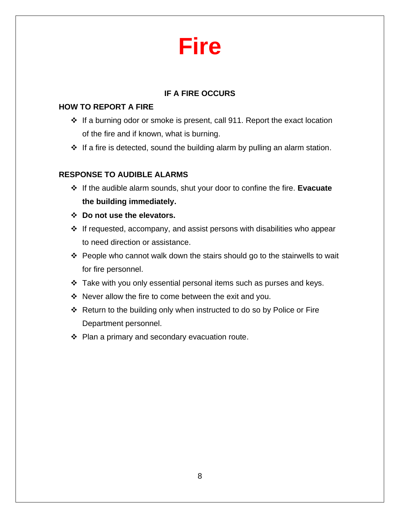### **Fire**

#### **IF A FIRE OCCURS**

#### **HOW TO REPORT A FIRE**

- ❖ If a burning odor or smoke is present, call 911. Report the exact location of the fire and if known, what is burning.
- ❖ If a fire is detected, sound the building alarm by pulling an alarm station.

#### **RESPONSE TO AUDIBLE ALARMS**

- ❖ If the audible alarm sounds, shut your door to confine the fire. **Evacuate the building immediately.**
- ❖ **Do not use the elevators.**
- ❖ If requested, accompany, and assist persons with disabilities who appear to need direction or assistance.
- ❖ People who cannot walk down the stairs should go to the stairwells to wait for fire personnel.
- ❖ Take with you only essential personal items such as purses and keys.
- ❖ Never allow the fire to come between the exit and you.
- ❖ Return to the building only when instructed to do so by Police or Fire Department personnel.
- ❖ Plan a primary and secondary evacuation route.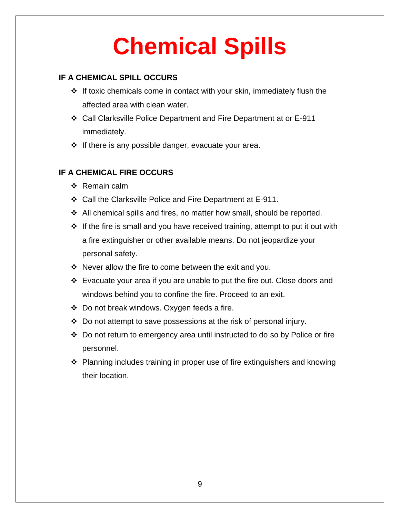# **Chemical Spills**

#### **IF A CHEMICAL SPILL OCCURS**

- ❖ If toxic chemicals come in contact with your skin, immediately flush the affected area with clean water.
- ❖ Call Clarksville Police Department and Fire Department at or E-911 immediately.
- ❖ If there is any possible danger, evacuate your area.

#### **IF A CHEMICAL FIRE OCCURS**

- ❖ Remain calm
- ❖ Call the Clarksville Police and Fire Department at E-911.
- ❖ All chemical spills and fires, no matter how small, should be reported.
- ❖ If the fire is small and you have received training, attempt to put it out with a fire extinguisher or other available means. Do not jeopardize your personal safety.
- ❖ Never allow the fire to come between the exit and you.
- ❖ Evacuate your area if you are unable to put the fire out. Close doors and windows behind you to confine the fire. Proceed to an exit.
- ❖ Do not break windows. Oxygen feeds a fire.
- ❖ Do not attempt to save possessions at the risk of personal injury.
- ❖ Do not return to emergency area until instructed to do so by Police or fire personnel.
- ❖ Planning includes training in proper use of fire extinguishers and knowing their location.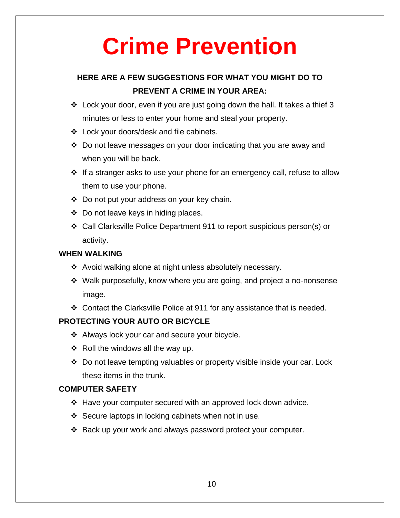### **Crime Prevention**

#### **HERE ARE A FEW SUGGESTIONS FOR WHAT YOU MIGHT DO TO PREVENT A CRIME IN YOUR AREA:**

- $\div$  Lock your door, even if you are just going down the hall. It takes a thief 3 minutes or less to enter your home and steal your property.
- ❖ Lock your doors/desk and file cabinets.
- ❖ Do not leave messages on your door indicating that you are away and when you will be back.
- ❖ If a stranger asks to use your phone for an emergency call, refuse to allow them to use your phone.
- ❖ Do not put your address on your key chain.
- ❖ Do not leave keys in hiding places.
- ❖ Call Clarksville Police Department 911 to report suspicious person(s) or activity.

#### **WHEN WALKING**

- ❖ Avoid walking alone at night unless absolutely necessary.
- ❖ Walk purposefully, know where you are going, and project a no-nonsense image.
- ❖ Contact the Clarksville Police at 911 for any assistance that is needed.

#### **PROTECTING YOUR AUTO OR BICYCLE**

- ❖ Always lock your car and secure your bicycle.
- $\div$  Roll the windows all the way up.
- ❖ Do not leave tempting valuables or property visible inside your car. Lock these items in the trunk.

#### **COMPUTER SAFETY**

- ❖ Have your computer secured with an approved lock down advice.
- ❖ Secure laptops in locking cabinets when not in use.
- ❖ Back up your work and always password protect your computer.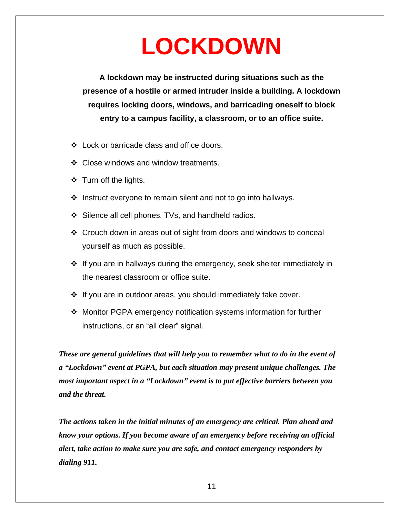### **LOCKDOWN**

**A lockdown may be instructed during situations such as the presence of a hostile or armed intruder inside a building. A lockdown requires locking doors, windows, and barricading oneself to block entry to a campus facility, a classroom, or to an office suite.**

- ❖ Lock or barricade class and office doors.
- ❖ Close windows and window treatments.
- ❖ Turn off the lights.
- ❖ Instruct everyone to remain silent and not to go into hallways.
- ❖ Silence all cell phones, TVs, and handheld radios.
- ❖ Crouch down in areas out of sight from doors and windows to conceal yourself as much as possible.
- $\div$  If you are in hallways during the emergency, seek shelter immediately in the nearest classroom or office suite.
- ❖ If you are in outdoor areas, you should immediately take cover.
- ❖ Monitor PGPA emergency notification systems information for further instructions, or an "all clear" signal.

*These are general guidelines that will help you to remember what to do in the event of a "Lockdown" event at PGPA, but each situation may present unique challenges. The most important aspect in a "Lockdown" event is to put effective barriers between you and the threat.*

*The actions taken in the initial minutes of an emergency are critical. Plan ahead and know your options. If you become aware of an emergency before receiving an official alert, take action to make sure you are safe, and contact emergency responders by dialing 911.*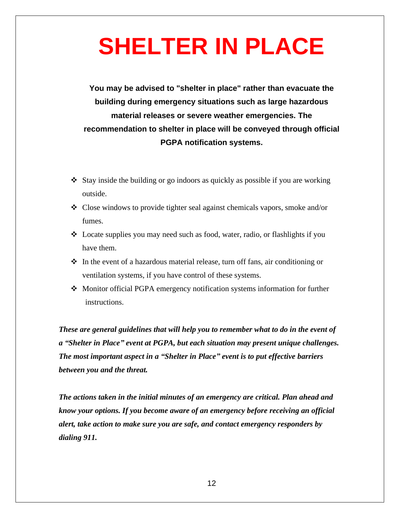### **SHELTER IN PLACE**

**You may be advised to "shelter in place" rather than evacuate the building during emergency situations such as large hazardous material releases or severe weather emergencies. The recommendation to shelter in place will be conveyed through official PGPA notification systems.**

- $\triangle$  Stay inside the building or go indoors as quickly as possible if you are working outside.
- ❖ Close windows to provide tighter seal against chemicals vapors, smoke and/or fumes.
- ❖ Locate supplies you may need such as food, water, radio, or flashlights if you have them.
- ❖ In the event of a hazardous material release, turn off fans, air conditioning or ventilation systems, if you have control of these systems.
- ❖ Monitor official PGPA emergency notification systems information for further instructions.

*These are general guidelines that will help you to remember what to do in the event of a "Shelter in Place" event at PGPA, but each situation may present unique challenges. The most important aspect in a "Shelter in Place" event is to put effective barriers between you and the threat.*

*The actions taken in the initial minutes of an emergency are critical. Plan ahead and know your options. If you become aware of an emergency before receiving an official alert, take action to make sure you are safe, and contact emergency responders by dialing 911.*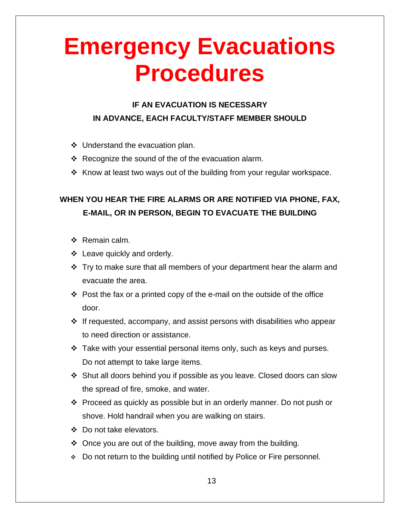### **Emergency Evacuations Procedures**

#### **IF AN EVACUATION IS NECESSARY IN ADVANCE, EACH FACULTY/STAFF MEMBER SHOULD**

- ❖ Understand the evacuation plan.
- ❖ Recognize the sound of the of the evacuation alarm.
- ❖ Know at least two ways out of the building from your regular workspace.

#### **WHEN YOU HEAR THE FIRE ALARMS OR ARE NOTIFIED VIA PHONE, FAX, E-MAIL, OR IN PERSON, BEGIN TO EVACUATE THE BUILDING**

- ❖ Remain calm.
- ❖ Leave quickly and orderly.
- ❖ Try to make sure that all members of your department hear the alarm and evacuate the area.
- ❖ Post the fax or a printed copy of the e-mail on the outside of the office door.
- $\div$  If requested, accompany, and assist persons with disabilities who appear to need direction or assistance.
- ❖ Take with your essential personal items only, such as keys and purses. Do not attempt to take large items.
- ❖ Shut all doors behind you if possible as you leave. Closed doors can slow the spread of fire, smoke, and water.
- ❖ Proceed as quickly as possible but in an orderly manner. Do not push or shove. Hold handrail when you are walking on stairs.
- ❖ Do not take elevators.
- ❖ Once you are out of the building, move away from the building.
- ❖ Do not return to the building until notified by Police or Fire personnel.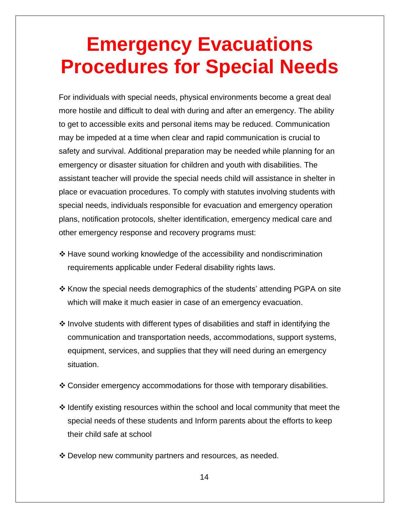### **Emergency Evacuations Procedures for Special Needs**

For individuals with special needs, physical environments become a great deal more hostile and difficult to deal with during and after an emergency. The ability to get to accessible exits and personal items may be reduced. Communication may be impeded at a time when clear and rapid communication is crucial to safety and survival. Additional preparation may be needed while planning for an emergency or disaster situation for children and youth with disabilities. The assistant teacher will provide the special needs child will assistance in shelter in place or evacuation procedures. To comply with statutes involving students with special needs, individuals responsible for evacuation and emergency operation plans, notification protocols, shelter identification, emergency medical care and other emergency response and recovery programs must:

- ❖ Have sound working knowledge of the accessibility and nondiscrimination requirements applicable under Federal disability rights laws.
- ❖ Know the special needs demographics of the students' attending PGPA on site which will make it much easier in case of an emergency evacuation.
- ❖ Involve students with different types of disabilities and staff in identifying the communication and transportation needs, accommodations, support systems, equipment, services, and supplies that they will need during an emergency situation.
- ❖ Consider emergency accommodations for those with temporary disabilities.
- ❖ Identify existing resources within the school and local community that meet the special needs of these students and Inform parents about the efforts to keep their child safe at school
- ❖ Develop new community partners and resources, as needed.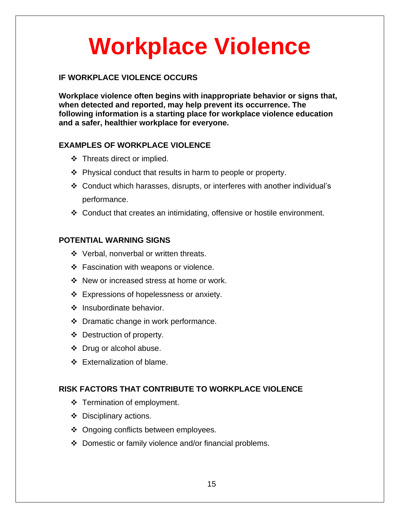### **Workplace Violence**

#### **IF WORKPLACE VIOLENCE OCCURS**

**Workplace violence often begins with inappropriate behavior or signs that, when detected and reported, may help prevent its occurrence. The following information is a starting place for workplace violence education and a safer, healthier workplace for everyone.**

#### **EXAMPLES OF WORKPLACE VIOLENCE**

- ❖ Threats direct or implied.
- ❖ Physical conduct that results in harm to people or property.
- ❖ Conduct which harasses, disrupts, or interferes with another individual's performance.
- ❖ Conduct that creates an intimidating, offensive or hostile environment.

#### **POTENTIAL WARNING SIGNS**

- ❖ Verbal, nonverbal or written threats.
- ❖ Fascination with weapons or violence.
- ❖ New or increased stress at home or work.
- ❖ Expressions of hopelessness or anxiety.
- ❖ Insubordinate behavior.
- ❖ Dramatic change in work performance.
- ❖ Destruction of property.
- ❖ Drug or alcohol abuse.
- ❖ Externalization of blame.

#### **RISK FACTORS THAT CONTRIBUTE TO WORKPLACE VIOLENCE**

- ❖ Termination of employment.
- ❖ Disciplinary actions.
- ❖ Ongoing conflicts between employees.
- ❖ Domestic or family violence and/or financial problems.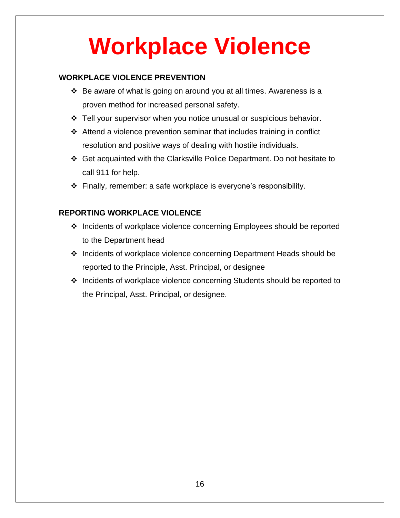# **Workplace Violence**

#### **WORKPLACE VIOLENCE PREVENTION**

- ❖ Be aware of what is going on around you at all times. Awareness is a proven method for increased personal safety.
- ❖ Tell your supervisor when you notice unusual or suspicious behavior.
- ❖ Attend a violence prevention seminar that includes training in conflict resolution and positive ways of dealing with hostile individuals.
- ❖ Get acquainted with the Clarksville Police Department. Do not hesitate to call 911 for help.
- ❖ Finally, remember: a safe workplace is everyone's responsibility.

#### **REPORTING WORKPLACE VIOLENCE**

- ❖ Incidents of workplace violence concerning Employees should be reported to the Department head
- ❖ Incidents of workplace violence concerning Department Heads should be reported to the Principle, Asst. Principal, or designee
- ❖ Incidents of workplace violence concerning Students should be reported to the Principal, Asst. Principal, or designee.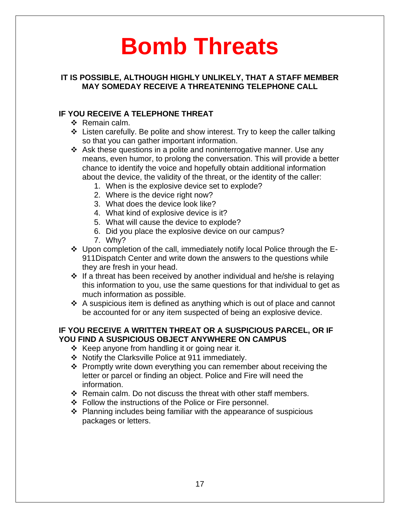### **Bomb Threats**

#### **IT IS POSSIBLE, ALTHOUGH HIGHLY UNLIKELY, THAT A STAFF MEMBER MAY SOMEDAY RECEIVE A THREATENING TELEPHONE CALL**

#### **IF YOU RECEIVE A TELEPHONE THREAT**

- ❖ Remain calm.
- ❖ Listen carefully. Be polite and show interest. Try to keep the caller talking so that you can gather important information.
- ❖ Ask these questions in a polite and noninterrogative manner. Use any means, even humor, to prolong the conversation. This will provide a better chance to identify the voice and hopefully obtain additional information about the device, the validity of the threat, or the identity of the caller:
	- 1. When is the explosive device set to explode?
	- 2. Where is the device right now?
	- 3. What does the device look like?
	- 4. What kind of explosive device is it?
	- 5. What will cause the device to explode?
	- 6. Did you place the explosive device on our campus?
	- 7. Why?
- ❖ Upon completion of the call, immediately notify local Police through the E-911Dispatch Center and write down the answers to the questions while they are fresh in your head.
- ❖ If a threat has been received by another individual and he/she is relaying this information to you, use the same questions for that individual to get as much information as possible.
- ❖ A suspicious item is defined as anything which is out of place and cannot be accounted for or any item suspected of being an explosive device.

#### **IF YOU RECEIVE A WRITTEN THREAT OR A SUSPICIOUS PARCEL, OR IF YOU FIND A SUSPICIOUS OBJECT ANYWHERE ON CAMPUS**

- $\div$  Keep anyone from handling it or going near it.
- ❖ Notify the Clarksville Police at 911 immediately.
- ❖ Promptly write down everything you can remember about receiving the letter or parcel or finding an object. Police and Fire will need the information.
- ❖ Remain calm. Do not discuss the threat with other staff members.
- ❖ Follow the instructions of the Police or Fire personnel.
- ❖ Planning includes being familiar with the appearance of suspicious packages or letters.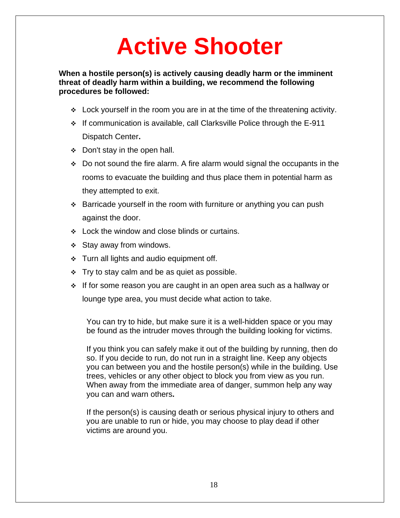### **Active Shooter**

**When a hostile person(s) is actively causing deadly harm or the imminent threat of deadly harm within a building, we recommend the following procedures be followed:**

- $\div$  Lock yourself in the room you are in at the time of the threatening activity.
- ❖ If communication is available, call Clarksville Police through the E-911 Dispatch Center**.**
- ❖ Don't stay in the open hall.
- ❖ Do not sound the fire alarm. A fire alarm would signal the occupants in the rooms to evacuate the building and thus place them in potential harm as they attempted to exit.
- ❖ Barricade yourself in the room with furniture or anything you can push against the door.
- ❖ Lock the window and close blinds or curtains.
- ❖ Stay away from windows.
- ❖ Turn all lights and audio equipment off.
- $\div$  Try to stay calm and be as quiet as possible.
- ❖ If for some reason you are caught in an open area such as a hallway or lounge type area, you must decide what action to take.

You can try to hide, but make sure it is a well-hidden space or you may be found as the intruder moves through the building looking for victims.

If you think you can safely make it out of the building by running, then do so. If you decide to run, do not run in a straight line. Keep any objects you can between you and the hostile person(s) while in the building. Use trees, vehicles or any other object to block you from view as you run. When away from the immediate area of danger, summon help any way you can and warn others**.**

If the person(s) is causing death or serious physical injury to others and you are unable to run or hide, you may choose to play dead if other victims are around you.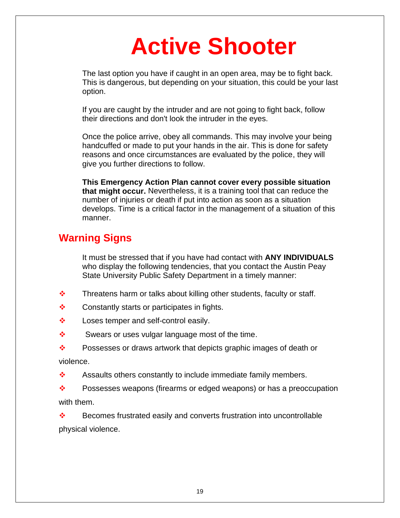### **Active Shooter**

The last option you have if caught in an open area, may be to fight back. This is dangerous, but depending on your situation, this could be your last option.

If you are caught by the intruder and are not going to fight back, follow their directions and don't look the intruder in the eyes.

Once the police arrive, obey all commands. This may involve your being handcuffed or made to put your hands in the air. This is done for safety reasons and once circumstances are evaluated by the police, they will give you further directions to follow.

**This Emergency Action Plan cannot cover every possible situation that might occur.** Nevertheless, it is a training tool that can reduce the number of injuries or death if put into action as soon as a situation develops. Time is a critical factor in the management of a situation of this manner.

#### **Warning Signs**

It must be stressed that if you have had contact with **ANY INDIVIDUALS** who display the following tendencies, that you contact the Austin Peay State University Public Safety Department in a timely manner:

- $\cdot \cdot$  Threatens harm or talks about killing other students, faculty or staff.
- ❖ Constantly starts or participates in fights.
- ❖ Loses temper and self-control easily.
- ❖ Swears or uses vulgar language most of the time.

❖ Possesses or draws artwork that depicts graphic images of death or violence.

❖ Assaults others constantly to include immediate family members.

❖ Possesses weapons (firearms or edged weapons) or has a preoccupation with them.

❖ Becomes frustrated easily and converts frustration into uncontrollable physical violence.